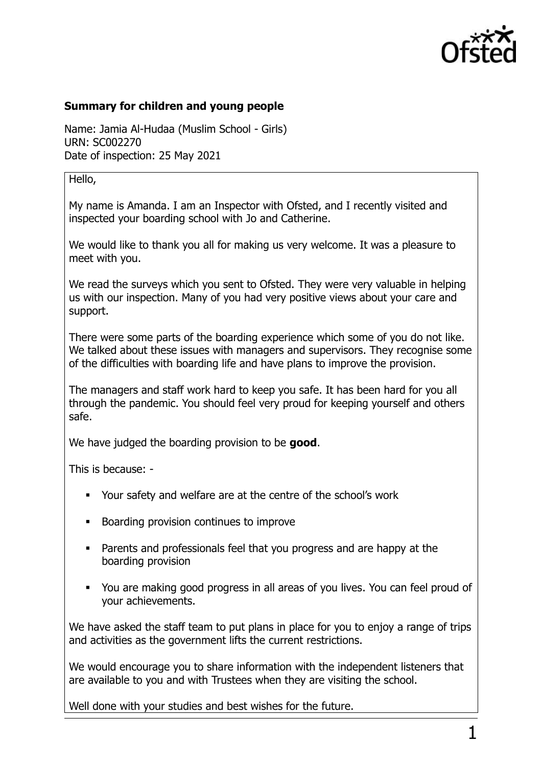

## **Summary for children and young people**

Name: Jamia Al-Hudaa (Muslim School - Girls) URN: SC002270 Date of inspection: 25 May 2021

## Hello,

My name is Amanda. I am an Inspector with Ofsted, and I recently visited and inspected your boarding school with Jo and Catherine.

We would like to thank you all for making us very welcome. It was a pleasure to meet with you.

We read the surveys which you sent to Ofsted. They were very valuable in helping us with our inspection. Many of you had very positive views about your care and support.

There were some parts of the boarding experience which some of you do not like. We talked about these issues with managers and supervisors. They recognise some of the difficulties with boarding life and have plans to improve the provision.

The managers and staff work hard to keep you safe. It has been hard for you all through the pandemic. You should feel very proud for keeping yourself and others safe.

We have judged the boarding provision to be **good**.

This is because: -

- Your safety and welfare are at the centre of the school's work
- Boarding provision continues to improve
- Parents and professionals feel that you progress and are happy at the boarding provision
- You are making good progress in all areas of you lives. You can feel proud of your achievements.

We have asked the staff team to put plans in place for you to enjoy a range of trips and activities as the government lifts the current restrictions.

We would encourage you to share information with the independent listeners that are available to you and with Trustees when they are visiting the school.

Well done with your studies and best wishes for the future.